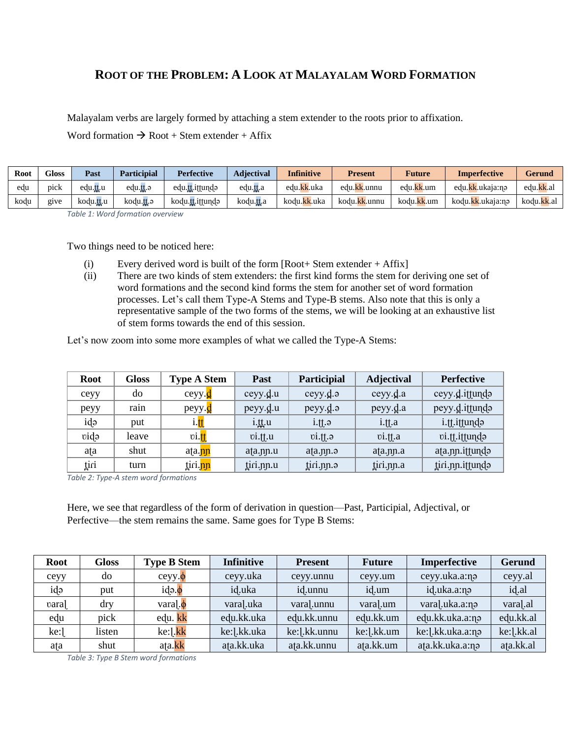## **ROOT OF THE PROBLEM: A LOOK AT MALAYALAM WORD FORMATION**

Malayalam verbs are largely formed by attaching a stem extender to the roots prior to affixation.

Word formation  $\rightarrow$  Root + Stem extender + Affix

| <b>Root</b> | <b>Gloss</b>      | Past      | <b>Participial</b>       | <b>Perfective</b> | Adiectival         | <b>Infinitive</b> | <b>Present</b> | <b>Future</b> | <b>Imperfective</b> | <b>Gerund</b> |
|-------------|-------------------|-----------|--------------------------|-------------------|--------------------|-------------------|----------------|---------------|---------------------|---------------|
| edu         | pick              | edu.tt.u  | edu.tt.a                 | edu.tt.ittundo    | edu.tt.a           | edu.kk.uka        | edu.kk.unnu    | edu.kk.um     | edu.kk.ukaja:nə     | edu.kk.a.     |
| kodu        | g <sub>1</sub> ve | kodu.tt.u | kodu. <mark>tt</mark> .ə | kodu.tt.ittundə   | kodu. <u>tt</u> .a | kodu.kk.uka       | kodu.kk.unnu   | kodu.kk.um    | kodu.kk.ukaja:nə    | kodu.kk.al    |

*Table 1: Word formation overview*

Two things need to be noticed here:

- (i) Every derived word is built of the form  $[Root+Stem$  extender + Affix]
- (ii) There are two kinds of stem extenders: the first kind forms the stem for deriving one set of word formations and the second kind forms the stem for another set of word formation processes. Let's call them Type-A Stems and Type-B stems. Also note that this is only a representative sample of the two forms of the stems, we will be looking at an exhaustive list of stem forms towards the end of this session.

Let's now zoom into some more examples of what we called the Type-A Stems:

| <b>Root</b> | <b>Gloss</b> | <b>Type A Stem</b>    | <b>Past</b> | <b>Participial</b>  | <b>Adjectival</b>    | <b>Perfective</b> |
|-------------|--------------|-----------------------|-------------|---------------------|----------------------|-------------------|
| ceyy        | do           | $ceyy.$ <sup>d</sup>  | ceyy.d.u    | ceyy.d.             | ceyy.d.a             | ceyy.d.ittundə    |
| peyy        | rain         | peyy.d                | peyy.d.u    | peyy.d.             | peyy.d.a             | peyy.d.ittundə    |
| idə         | put          | i. <mark>tt</mark>    | $i$ .tt.u   | $i$ .† $\uparrow$ . | $i$ .# $\uparrow$ .a | i.tt.ittundə      |
| vidə        | leave        | $\mathbf{vi}$ .tt     | vi.t.u      | $vi.$ ff. $\theta$  | vi.t.                | vi.tt.ittundə     |
| afa         | shut         | ata.nn                | ata.nn.u    | ata.nn.             | ata.nn.a             | ata.nn.ittundə    |
| tiri        | turn         | tiri. <mark>nn</mark> | tiri.pp.u   | tiri.pp.a           | tiri.pp.a            | tiri.pp.ittundə   |

*Table 2: Type-A stem word formations*

Here, we see that regardless of the form of derivation in question—Past, Participial, Adjectival, or Perfective—the stem remains the same. Same goes for Type B Stems:

| Root | <b>Gloss</b> | <b>Type B Stem</b>  | <b>Infinitive</b> | <b>Present</b> | <b>Future</b> | <b>Imperfective</b> | <b>Gerund</b> |
|------|--------------|---------------------|-------------------|----------------|---------------|---------------------|---------------|
| ceyy | do           | $ceyy.$ $\phi$      | ceyy.uka          | ceyy.unnu      | ceyy.um       | ceyy.uka.a:na       | ceyy.al       |
| ida  | put          | $ida.\phi$          | id.uka            | id.unnu        | id.um         | id.uka.a:n          | id.al         |
| vara | dry          | $\text{varal.}\phi$ | vara].uka         | vara.unnu      | vara].um      | vara].uka.a:n       | varal.al      |
| edu  | pick         | edu. kk             | edu.kk.uka        | edu.kk.unnu    | edu.kk.um     | edu.kk.uka.a:na     | edu.kk.al     |
| ke:1 | listen       | ke:].kk             | ke:].kk.uka       | ke:   .kk.unnu | ke:].kk.um    | ke:   .kk.uka.a:n   | ke:].kk.al    |
| afa  | shut         | ata.kk              | ata.kk.uka        | ata.kk.unnu    | ata.kk.um     | ata.kk.uka.a:na     | ata.kk.al     |

*Table 3: Type B Stem word formations*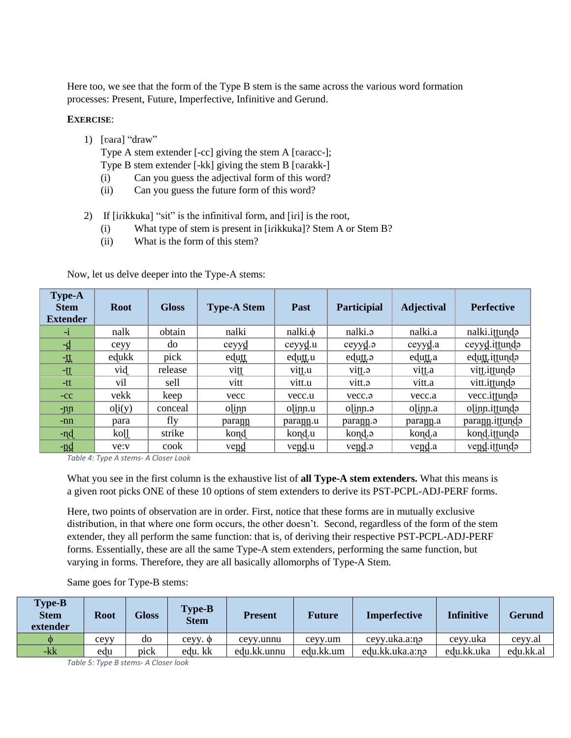Here too, we see that the form of the Type B stem is the same across the various word formation processes: Present, Future, Imperfective, Infinitive and Gerund.

## **EXERCISE**:

1) [vara] "draw"

Type A stem extender [-cc] giving the stem A [ʋaɾacc-];

- Type B stem extender [-kk] giving the stem B [ʋaɾakk-]
- (i) Can you guess the adjectival form of this word?
- (ii) Can you guess the future form of this word?
- 2) If [irikkuka] "sit" is the infinitival form, and [iri] is the root,
	- (i) What type of stem is present in [iɾikkuka]? Stem A or Stem B?
	- (ii) What is the form of this stem?

| <b>Type-A</b><br><b>Stem</b><br><b>Extender</b> | <b>Root</b> | <b>Gloss</b> | <b>Type-A Stem</b> | Past         | Participial       | <b>Adjectival</b> | <b>Perfective</b> |
|-------------------------------------------------|-------------|--------------|--------------------|--------------|-------------------|-------------------|-------------------|
| $-1$                                            | nalk        | obtain       | nalki              | $nalki.\phi$ | nalki.            | nalki.a           | nalki.ittunda     |
| $-d$                                            | ceyy        | do           | ceyyd              | ceyyd.u      | ceyyd.o           | ceyyd.a           | ceyyd.ittundo     |
| -姓                                              | edukk       | pick         | edutt              | edutt.u      | edutt.            | edutt.a           | edutt.ittundə     |
| -tt                                             | vid         | release      | vitt               | vitt.u       | e.jjiv            | vitt.a            | vitt.ittundə      |
| $-tt$                                           | vil         | sell         | vitt               | vitt.u       | vitt.             | vitt.a            | vitt.iffunda      |
| $-CC$                                           | vekk        | keep         | vecc               | vecc.u       | vecc.a            | vecc.a            | vecc.ittunda      |
| -nn                                             | o[i(y)]     | conceal      | olinn              | olinn.u      | $o$ linn. $\circ$ | olinn.a           | olinn.ittundo     |
| -nn                                             | para        | fly          | parann             | parann.u     | parann.           | para <u>nn</u> .a | parann.ittundo    |
| -nd                                             | koll        | strike       | kond               | kond.u       | kond.             | kond.a            | kond.ittundə      |
| <u>-nd</u>                                      | ve:v        | cook         | vend               | $vend u$     | vend.a            | vend.a            | vend.ittundo      |

Now, let us delve deeper into the Type-A stems:

*Table 4: Type A stems- A Closer Look*

What you see in the first column is the exhaustive list of **all Type-A stem extenders.** What this means is a given root picks ONE of these 10 options of stem extenders to derive its PST-PCPL-ADJ-PERF forms.

Here, two points of observation are in order. First, notice that these forms are in mutually exclusive distribution, in that where one form occurs, the other doesn't. Second, regardless of the form of the stem extender, they all perform the same function: that is, of deriving their respective PST-PCPL-ADJ-PERF forms. Essentially, these are all the same Type-A stem extenders, performing the same function, but varying in forms. Therefore, they are all basically allomorphs of Type-A Stem.

| <b>Type-B</b><br><b>Stem</b><br>extender | <b>Root</b> | <b>Gloss</b> | <b>Type-B</b><br><b>Stem</b> | <b>Present</b> | <b>Future</b> | <b>Imperfective</b> | <b>Infinitive</b> | <b>Gerund</b> |
|------------------------------------------|-------------|--------------|------------------------------|----------------|---------------|---------------------|-------------------|---------------|
| Ф                                        | сеуу        | do           | $cevy. \phi$                 | ceyy.unnu      | ceyy.um       | ceyy.uka.a:nə       | ceyy.uka          | ceyy.al       |
| $-kk$                                    | edu         | pick         | edu. kk                      | edu.kk.unnu    | edu.kk.um     | edu.kk.uka.a:n      | edu.kk.uka        | edu.kk.al     |

Same goes for Type-B stems:

*Table 5: Type B stems- A Closer look*